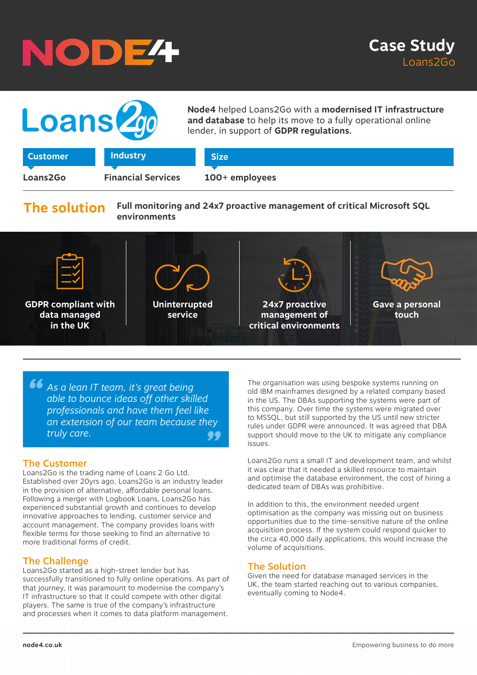





**Node4** helped Loans2Go with a **modernised IT infrastructure and database** to help its move to a fully operational online lender, in support of **GDPR regulations.**

|  |  | -49691161 |  |
|--|--|-----------|--|
|  |  |           |  |
|  |  |           |  |
|  |  |           |  |

**Industry** 

**Loans2Go Financial Services 100+ employees**

**Size**

# **The solution**

**Full monitoring and 24x7 proactive management of critical Microsoft SQL environments**



**66** As a lean IT team, it's great being<br>able to bounce ideas off other skill<br>professionals and have them feel. *" an extension of our team because they able to bounce ideas off other skilled professionals and have them feel like truly care.*

### The Customer

Loans2Go is the trading name of Loans 2 Go Ltd. Established over 20yrs ago, Loans2Go is an industry leader in the provision of alternative, affordable personal loans. Following a merger with Logbook Loans, Loans2Go has experienced substantial growth and continues to develop innovative approaches to lending, customer service and account management. The company provides loans with flexible terms for those seeking to find an alternative to more traditional forms of credit.

## The Challenge

Loans2Go started as a high-street lender but has successfully transitioned to fully online operations. As part of that journey, it was paramount to modernise the company's IT infrastructure so that it could compete with other digital players. The same is true of the company's infrastructure and processes when it comes to data platform management.

The organisation was using bespoke systems running on old IBM mainframes designed by a related company based in the US. The DBAs supporting the systems were part of this company. Over time the systems were migrated over to MSSQL, but still supported by the US until new stricter rules under GDPR were announced. It was agreed that DBA support should move to the UK to mitigate any compliance issues.

Loans2Go runs a small IT and development team, and whilst it was clear that it needed a skilled resource to maintain and optimise the database environment, the cost of hiring a dedicated team of DBAs was prohibitive.

In addition to this, the environment needed urgent optimisation as the company was missing out on business opportunities due to the time-sensitive nature of the online acquisition process. If the system could respond quicker to the circa 40,000 daily applications, this would increase the volume of acquisitions.

### The Solution

Given the need for database managed services in the UK, the team started reaching out to various companies, eventually coming to Node4.